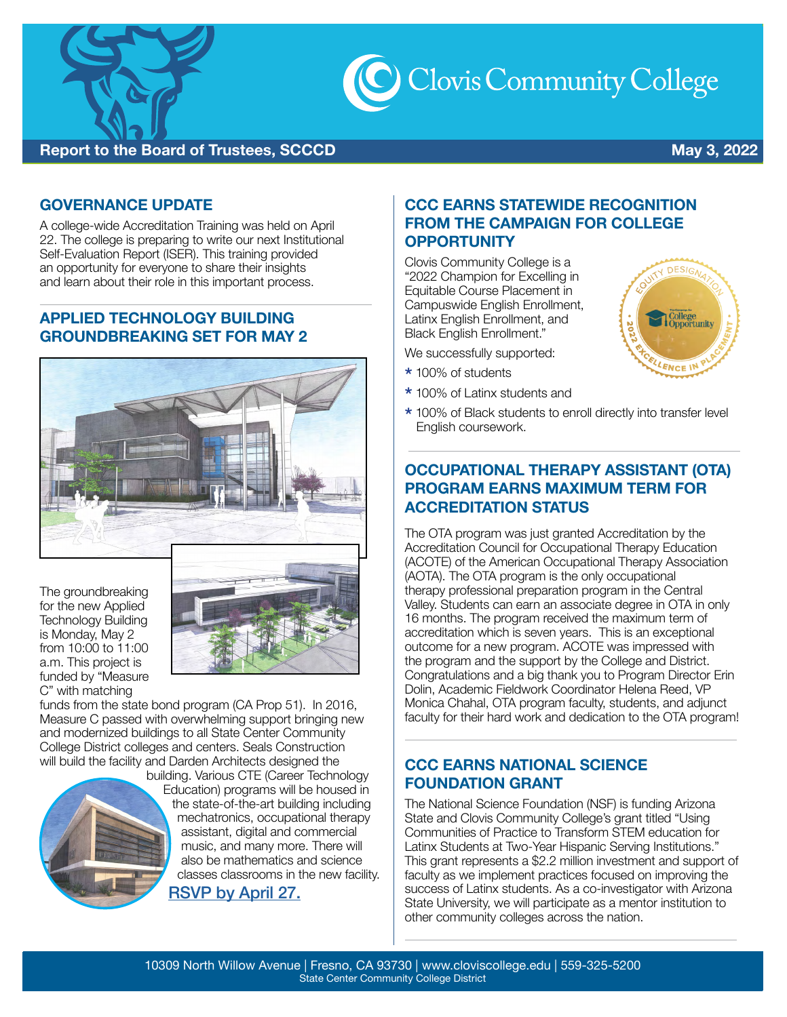

C Clovis Community College

# **Report to the Board of Trustees, SCCCD Contract of Australian Contract Contract Contract Contract Contract Contract Contract Contract Contract Contract Contract Contract Contract Contract Contract Contract Contract Cont**

**DESIGN** 

Colle<mark>ge</mark><br>Opportunity

**ENCE I** 

#### **GOVERNANCE UPDATE**

A college-wide Accreditation Training was held on April 22. The college is preparing to write our next Institutional Self-Evaluation Report (ISER). This training provided an opportunity for everyone to share their insights and learn about their role in this important process.

#### **APPLIED TECHNOLOGY BUILDING GROUNDBREAKING SET FOR MAY 2**



The groundbreaking for the new Applied Technology Building is Monday, May 2 from 10:00 to 11:00 a.m. This project is funded by "Measure C" with matching



 funds from the state bond program (CA Prop 51). In 2016, College District colleges and centers. Seals Construction Measure C passed with overwhelming support bringing new and modernized buildings to all State Center Community will build the facility and Darden Architects designed the



building. Various CTE (Career Technology Education) programs will be housed in the state-of-the-art building including mechatronics, occupational therapy assistant, digital and commercial music, and many more. There will also be mathematics and science classes classrooms in the new facility. [RSVP by April 27.](https://www.eventbrite.com/e/groundbreaking-clovis-community-college-applied-technology-building-tickets-310670583077)

### **CCC EARNS STATEWIDE RECOGNITION FROM THE CAMPAIGN FOR COLLEGE OPPORTUNITY**

Clovis Community College is a "2022 Champion for Excelling in Equitable Course Placement in Campuswide English Enrollment, Latinx English Enrollment, and Black English Enrollment."

We successfully supported:

- \* 100% of students
- \* 100% of Latinx students and
- \* 100% of Black students to enroll directly into transfer level English coursework.

## **OCCUPATIONAL THERAPY ASSISTANT (OTA) PROGRAM EARNS MAXIMUM TERM FOR ACCREDITATION STATUS**

 Valley. Students can earn an associate degree in OTA in only the program and the support by the College and District. The OTA program was just granted Accreditation by the Accreditation Council for Occupational Therapy Education (ACOTE) of the American Occupational Therapy Association (AOTA). The OTA program is the only occupational therapy professional preparation program in the Central 16 months. The program received the maximum term of accreditation which is seven years. This is an exceptional outcome for a new program. ACOTE was impressed with Congratulations and a big thank you to Program Director Erin Dolin, Academic Fieldwork Coordinator Helena Reed, VP Monica Chahal, OTA program faculty, students, and adjunct faculty for their hard work and dedication to the OTA program!

### **CCC EARNS NATIONAL SCIENCE FOUNDATION GRANT**

The National Science Foundation (NSF) is funding Arizona State and Clovis Community College's grant titled "Using Communities of Practice to Transform STEM education for Latinx Students at Two-Year Hispanic Serving Institutions." This grant represents a \$2.2 million investment and support of faculty as we implement practices focused on improving the success of Latinx students. As a co-investigator with Arizona State University, we will participate as a mentor institution to other community colleges across the nation.